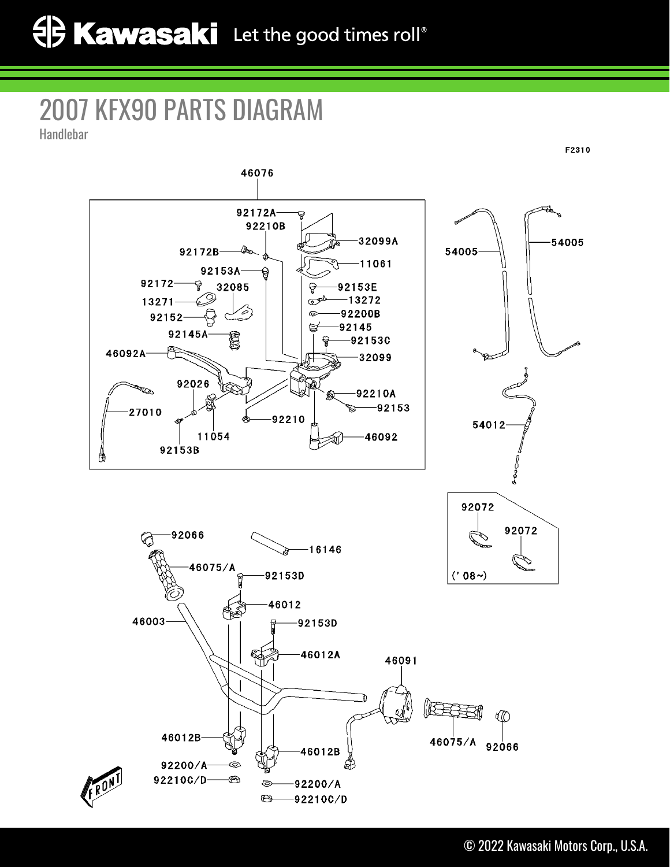## 2007 KFX90 PARTS DIAGRAM Handlebar

F2310 46076 92172A 92210B 32099A 54005 54005 92172B-11061 92153A  $92172 -$ 윻 32085 92153E Q  $-13272$ 13271 ত 92200B  $92152 -$ 92145 92145A  $-92153C$ 46092A-32099 ᡃᢙ 92026 **RD** 92210A  $-92153$ 27010 92210 54012 11054 46092 92153B 92072 92072  $-92066$ €  $-16146$ 46075/A 92153D  $('08~)$ 46012 46003 92153D 46012A 46091 165 46012B  $460\frac{1}{2}5/A$  92066 46012B 92200/A ◎ 92210C/D- $\circledast$ 

◎

 $\bigoplus$ 

92200/A

92210C/D

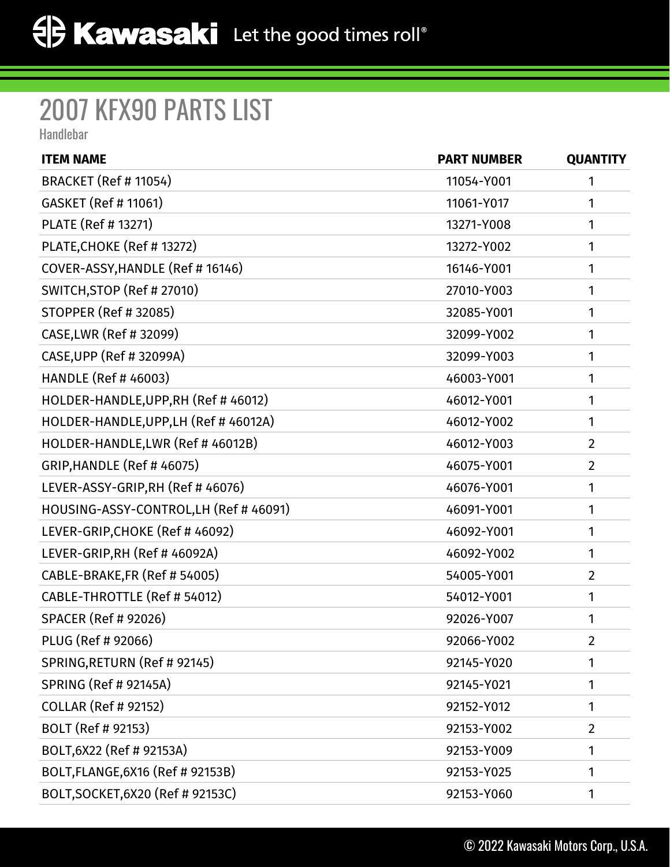## 2007 KFX90 PARTS LIST

Handlebar

| <b>ITEM NAME</b>                       | <b>PART NUMBER</b> | <b>QUANTITY</b> |
|----------------------------------------|--------------------|-----------------|
| <b>BRACKET (Ref # 11054)</b>           | 11054-Y001         | 1               |
| <b>GASKET (Ref # 11061)</b>            | 11061-Y017         | 1               |
| PLATE (Ref # 13271)                    | 13271-Y008         | 1               |
| PLATE, CHOKE (Ref # 13272)             | 13272-Y002         | 1               |
| COVER-ASSY, HANDLE (Ref #16146)        | 16146-Y001         | 1               |
| SWITCH, STOP (Ref # 27010)             | 27010-Y003         | 1               |
| <b>STOPPER (Ref # 32085)</b>           | 32085-Y001         | 1               |
| CASE, LWR (Ref # 32099)                | 32099-Y002         | 1               |
| CASE, UPP (Ref # 32099A)               | 32099-Y003         | 1               |
| HANDLE (Ref # 46003)                   | 46003-Y001         | 1               |
| HOLDER-HANDLE, UPP, RH (Ref # 46012)   | 46012-Y001         | 1               |
| HOLDER-HANDLE, UPP, LH (Ref # 46012A)  | 46012-Y002         | 1               |
| HOLDER-HANDLE, LWR (Ref # 46012B)      | 46012-Y003         | $\overline{2}$  |
| <b>GRIP, HANDLE (Ref #46075)</b>       | 46075-Y001         | $\overline{2}$  |
| LEVER-ASSY-GRIP,RH (Ref # 46076)       | 46076-Y001         | 1               |
| HOUSING-ASSY-CONTROL, LH (Ref # 46091) | 46091-Y001         | 1               |
| LEVER-GRIP, CHOKE (Ref # 46092)        | 46092-Y001         | 1               |
| LEVER-GRIP, RH (Ref # 46092A)          | 46092-Y002         | 1               |
| CABLE-BRAKE, FR (Ref # 54005)          | 54005-Y001         | $\overline{2}$  |
| CABLE-THROTTLE (Ref # 54012)           | 54012-Y001         | 1               |
| <b>SPACER (Ref # 92026)</b>            | 92026-Y007         | 1               |
| PLUG (Ref # 92066)                     | 92066-Y002         | $\overline{2}$  |
| SPRING, RETURN (Ref # 92145)           | 92145-Y020         | 1               |
| <b>SPRING (Ref # 92145A)</b>           | 92145-Y021         | 1               |
| <b>COLLAR (Ref # 92152)</b>            | 92152-Y012         | 1               |
| BOLT (Ref # 92153)                     | 92153-Y002         | $\overline{2}$  |
| BOLT, 6X22 (Ref # 92153A)              | 92153-Y009         | 1               |
| BOLT, FLANGE, 6X16 (Ref # 92153B)      | 92153-Y025         | 1               |
| BOLT, SOCKET, 6X20 (Ref # 92153C)      | 92153-Y060         | 1               |